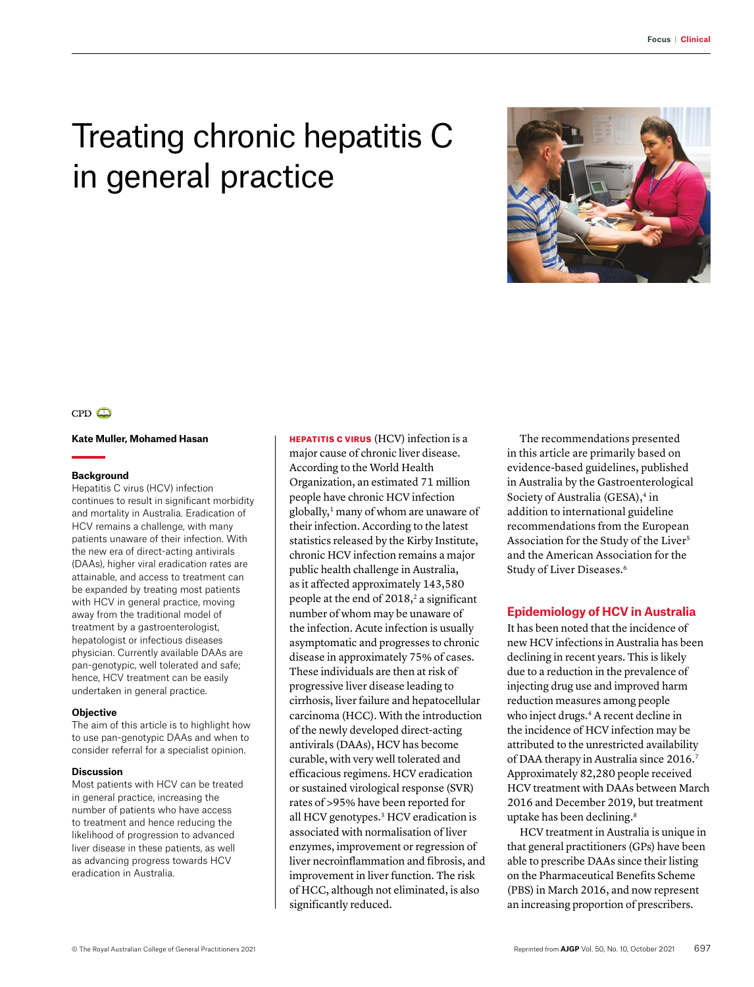# Treating chronic hepatitis C in general practice



## $CPD$

### **Kate Muller, Mohamed Hasan**

#### **Background**

Hepatitis C virus (HCV) infection continues to result in significant morbidity and mortality in Australia. Eradication of HCV remains a challenge, with many patients unaware of their infection. With the new era of direct-acting antivirals (DAAs), higher viral eradication rates are attainable, and access to treatment can be expanded by treating most patients with HCV in general practice, moving away from the traditional model of treatment by a gastroenterologist, hepatologist or infectious diseases physician. Currently available DAAs are pan-genotypic, well tolerated and safe; hence, HCV treatment can be easily undertaken in general practice.

#### **Objective**

The aim of this article is to highlight how to use pan-genotypic DAAs and when to consider referral for a specialist opinion.

#### **Discussion**

Most patients with HCV can be treated in general practice, increasing the number of patients who have access to treatment and hence reducing the likelihood of progression to advanced liver disease in these patients, as well as advancing progress towards HCV eradication in Australia.

**HEPATITIS C VIRUS** (HCV) infection is a major cause of chronic liver disease. According to the World Health Organization, an estimated 71 million people have chronic HCV infection globally,<sup>1</sup> many of whom are unaware of their infection. According to the latest statistics released by the Kirby Institute, chronic HCV infection remains a major public health challenge in Australia, as it affected approximately 143,580 people at the end of  $2018$ ,  $2$  a significant number of whom may be unaware of the infection. Acute infection is usually asymptomatic and progresses to chronic disease in approximately 75% of cases. These individuals are then at risk of progressive liver disease leading to cirrhosis, liver failure and hepatocellular carcinoma (HCC). With the introduction of the newly developed direct-acting antivirals (DAAs), HCV has become curable, with very well tolerated and efficacious regimens. HCV eradication or sustained virological response (SVR) rates of >95% have been reported for all HCV genotypes.3 HCV eradication is associated with normalisation of liver enzymes, improvement or regression of liver necroinflammation and fibrosis, and improvement in liver function. The risk of HCC, although not eliminated, is also significantly reduced.

The recommendations presented in this article are primarily based on evidence-based guidelines, published in Australia by the Gastroenterological Society of Australia (GESA),<sup>4</sup> in addition to international guideline recommendations from the European Association for the Study of the Liver<sup>5</sup> and the American Association for the Study of Liver Diseases.6

## **Epidemiology of HCV in Australia**

It has been noted that the incidence of new HCV infections in Australia has been declining in recent years. This is likely due to a reduction in the prevalence of injecting drug use and improved harm reduction measures among people who inject drugs.<sup>4</sup> A recent decline in the incidence of HCV infection may be attributed to the unrestricted availability of DAA therapy in Australia since 2016.<sup>7</sup> Approximately 82,280 people received HCV treatment with DAAs between March 2016 and December 2019, but treatment uptake has been declining.<sup>8</sup>

HCV treatment in Australia is unique in that general practitioners (GPs) have been able to prescribe DAAs since their listing on the Pharmaceutical Benefits Scheme (PBS) in March 2016, and now represent an increasing proportion of prescribers.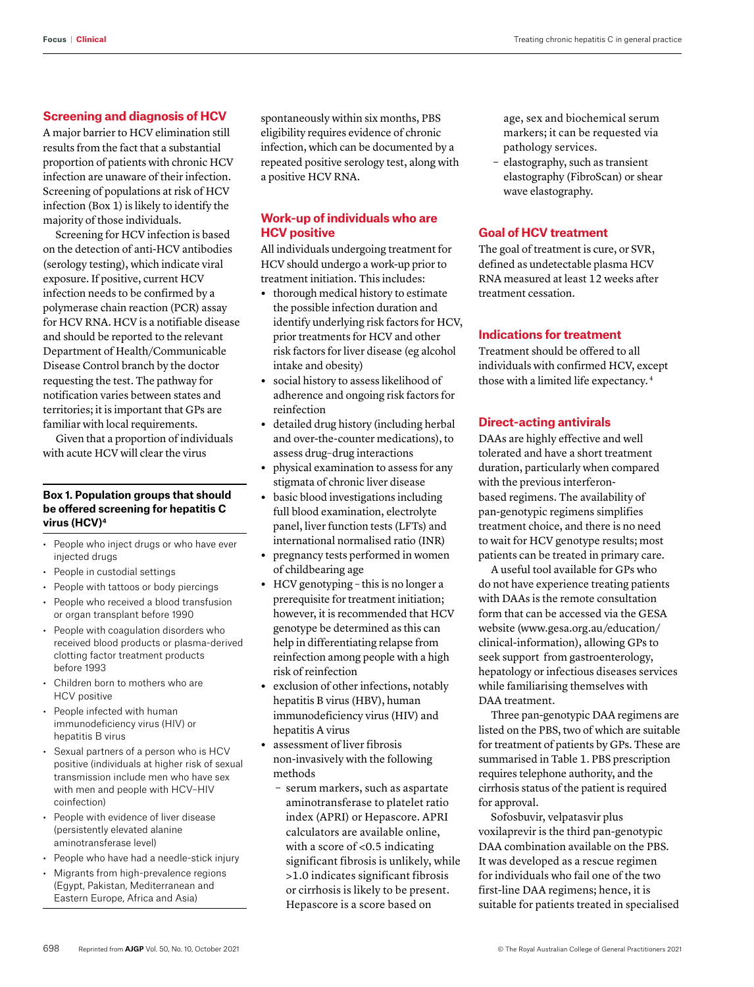# **Screening and diagnosis of HCV**

A major barrier to HCV elimination still results from the fact that a substantial proportion of patients with chronic HCV infection are unaware of their infection. Screening of populations at risk of HCV infection (Box 1) is likely to identify the majority of those individuals.

Screening for HCV infection is based on the detection of anti-HCV antibodies (serology testing), which indicate viral exposure. If positive, current HCV infection needs to be confirmed by a polymerase chain reaction (PCR) assay for HCV RNA. HCV is a notifiable disease and should be reported to the relevant Department of Health/Communicable Disease Control branch by the doctor requesting the test. The pathway for notification varies between states and territories; it is important that GPs are familiar with local requirements.

Given that a proportion of individuals with acute HCV will clear the virus

# **Box 1. Population groups that should be offered screening for hepatitis C virus (HCV)4**

- People who inject drugs or who have ever injected drugs
- People in custodial settings
- People with tattoos or body piercings
- People who received a blood transfusion or organ transplant before 1990
- People with coagulation disorders who received blood products or plasma-derived clotting factor treatment products before 1993
- Children born to mothers who are HCV positive
- People infected with human immunodeficiency virus (HIV) or hepatitis B virus
- Sexual partners of a person who is HCV positive (individuals at higher risk of sexual transmission include men who have sex with men and people with HCV–HIV coinfection)
- People with evidence of liver disease (persistently elevated alanine aminotransferase level)
- People who have had a needle-stick injury
- Migrants from high-prevalence regions (Egypt, Pakistan, Mediterranean and Eastern Europe, Africa and Asia)

spontaneously within six months, PBS eligibility requires evidence of chronic infection, which can be documented by a repeated positive serology test, along with a positive HCV RNA.

# **Work-up of individuals who are HCV positive**

All individuals undergoing treatment for HCV should undergo a work-up prior to treatment initiation. This includes:

- **•** thorough medical history to estimate the possible infection duration and identify underlying risk factors for HCV, prior treatments for HCV and other risk factors for liver disease (eg alcohol intake and obesity)
- **•** social history to assess likelihood of adherence and ongoing risk factors for reinfection
- **•** detailed drug history (including herbal and over-the-counter medications), to assess drug–drug interactions
- **•** physical examination to assess for any stigmata of chronic liver disease
- **•** basic blood investigations including full blood examination, electrolyte panel, liver function tests (LFTs) and international normalised ratio (INR)
- **•** pregnancy tests performed in women of childbearing age
- **•** HCV genotyping this is no longer a prerequisite for treatment initiation; however, it is recommended that HCV genotype be determined as this can help in differentiating relapse from reinfection among people with a high risk of reinfection
- **•** exclusion of other infections, notably hepatitis B virus (HBV), human immunodeficiency virus (HIV) and hepatitis A virus
- **•** assessment of liver fibrosis non-invasively with the following methods
	- serum markers, such as aspartate aminotransferase to platelet ratio index (APRI) or Hepascore. APRI calculators are available online, with a score of <0.5 indicating significant fibrosis is unlikely, while >1.0 indicates significant fibrosis or cirrhosis is likely to be present. Hepascore is a score based on

age, sex and biochemical serum markers; it can be requested via pathology services.

– elastography, such as transient elastography (FibroScan) or shear wave elastography.

# **Goal of HCV treatment**

The goal of treatment is cure, or SVR, defined as undetectable plasma HCV RNA measured at least 12 weeks after treatment cessation.

# **Indications for treatment**

Treatment should be offered to all individuals with confirmed HCV, except those with a limited life expectancy. 4

### **Direct-acting antivirals**

DAAs are highly effective and well tolerated and have a short treatment duration, particularly when compared with the previous interferonbased regimens. The availability of pan-genotypic regimens simplifies treatment choice, and there is no need to wait for HCV genotype results; most patients can be treated in primary care.

A useful tool available for GPs who do not have experience treating patients with DAAs is the remote consultation form that can be accessed via the GESA website [\(www.gesa.org.au/education/](http://www.gesa.org.au/education/clinical-information) [clinical-information](http://www.gesa.org.au/education/clinical-information)), allowing GPs to seek support from gastroenterology, hepatology or infectious diseases services while familiarising themselves with DAA treatment.

Three pan-genotypic DAA regimens are listed on the PBS, two of which are suitable for treatment of patients by GPs. These are summarised in Table 1. PBS prescription requires telephone authority, and the cirrhosis status of the patient is required for approval.

Sofosbuvir, velpatasvir plus voxilaprevir is the third pan-genotypic DAA combination available on the PBS. It was developed as a rescue regimen for individuals who fail one of the two first-line DAA regimens; hence, it is suitable for patients treated in specialised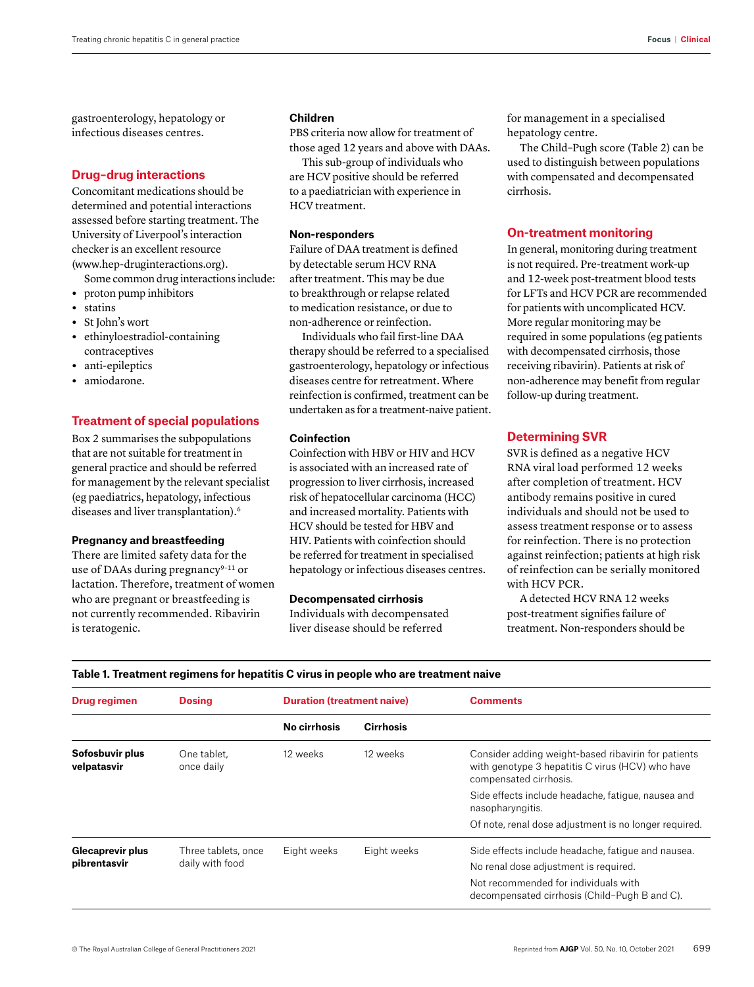gastroenterology, hepatology or infectious diseases centres.

# **Drug–drug interactions**

Concomitant medications should be determined and potential interactions assessed before starting treatment. The University of Liverpool's interaction checker is an excellent resource [\(www.hep-druginteractions.org\)](http://www.hep-druginteractions.org).

Some common drug interactions include:

- **•** proton pump inhibitors
- **•** statins
- **•** St John's wort
- **•** ethinyloestradiol-containing contraceptives
- **•** anti-epileptics
- **•** amiodarone.

# **Treatment of special populations**

Box 2 summarises the subpopulations that are not suitable for treatment in general practice and should be referred for management by the relevant specialist (eg paediatrics, hepatology, infectious diseases and liver transplantation).6

#### **Pregnancy and breastfeeding**

There are limited safety data for the use of DAAs during pregnancy $9-11$  or lactation. Therefore, treatment of women who are pregnant or breastfeeding is not currently recommended. Ribavirin is teratogenic.

### **Children**

PBS criteria now allow for treatment of those aged 12 years and above with DAAs.

This sub-group of individuals who are HCV positive should be referred to a paediatrician with experience in HCV treatment.

# **Non-responders**

Failure of DAA treatment is defined by detectable serum HCV RNA after treatment. This may be due to breakthrough or relapse related to medication resistance, or due to non-adherence or reinfection.

Individuals who fail first-line DAA therapy should be referred to a specialised gastroenterology, hepatology or infectious diseases centre for retreatment. Where reinfection is confirmed, treatment can be undertaken as for a treatment-naive patient.

### **Coinfection**

Coinfection with HBV or HIV and HCV is associated with an increased rate of progression to liver cirrhosis, increased risk of hepatocellular carcinoma (HCC) and increased mortality. Patients with HCV should be tested for HBV and HIV. Patients with coinfection should be referred for treatment in specialised hepatology or infectious diseases centres.

#### **Decompensated cirrhosis**

Individuals with decompensated liver disease should be referred

for management in a specialised hepatology centre.

The Child–Pugh score (Table 2) can be used to distinguish between populations with compensated and decompensated cirrhosis.

# **On-treatment monitoring**

In general, monitoring during treatment is not required. Pre-treatment work-up and 12-week post-treatment blood tests for LFTs and HCV PCR are recommended for patients with uncomplicated HCV. More regular monitoring may be required in some populations (eg patients with decompensated cirrhosis, those receiving ribavirin). Patients at risk of non-adherence may benefit from regular follow-up during treatment.

# **Determining SVR**

SVR is defined as a negative HCV RNA viral load performed 12 weeks after completion of treatment. HCV antibody remains positive in cured individuals and should not be used to assess treatment response or to assess for reinfection. There is no protection against reinfection; patients at high risk of reinfection can be serially monitored with HCV PCR.

A detected HCV RNA 12 weeks post-treatment signifies failure of treatment. Non-responders should be

| Drug regimen                            | <b>Dosing</b>                          | <b>Duration (treatment naive)</b> |                  | <b>Comments</b>                                                                                                                   |  |
|-----------------------------------------|----------------------------------------|-----------------------------------|------------------|-----------------------------------------------------------------------------------------------------------------------------------|--|
|                                         |                                        | No cirrhosis                      | <b>Cirrhosis</b> |                                                                                                                                   |  |
| Sofosbuvir plus<br>velpatasvir          | One tablet.<br>once daily              | 12 weeks                          | 12 weeks         | Consider adding weight-based ribavirin for patients<br>with genotype 3 hepatitis C virus (HCV) who have<br>compensated cirrhosis. |  |
|                                         |                                        |                                   |                  | Side effects include headache, fatique, nausea and<br>nasopharyngitis.                                                            |  |
|                                         |                                        |                                   |                  | Of note, renal dose adjustment is no longer required.                                                                             |  |
| <b>Glecaprevir plus</b><br>pibrentasvir | Three tablets, once<br>daily with food | Eight weeks                       | Eight weeks      | Side effects include headache, fatique and nausea.<br>No renal dose adjustment is required.                                       |  |
|                                         |                                        |                                   |                  | Not recommended for individuals with<br>decompensated cirrhosis (Child-Pugh B and C).                                             |  |

# **Table 1. Treatment regimens for hepatitis C virus in people who are treatment naive**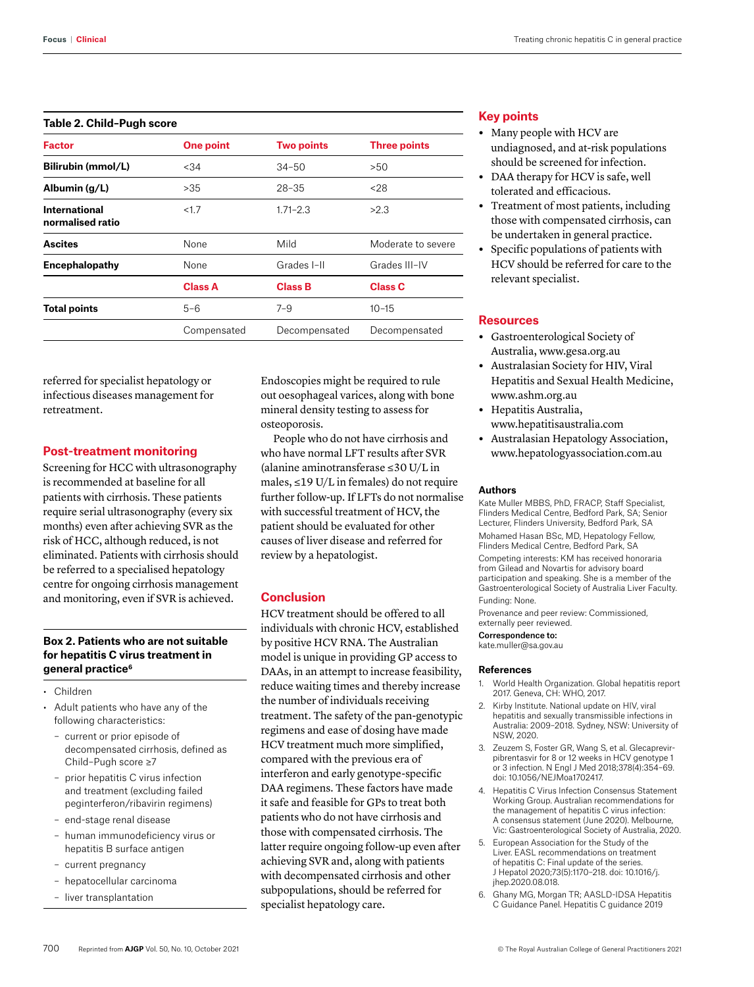#### **Table 2. Child–Pugh score**

| <b>Factor</b>                            | One point      | <b>Two points</b> | <b>Three points</b> |
|------------------------------------------|----------------|-------------------|---------------------|
| Bilirubin (mmol/L)                       | < 34           | $34 - 50$         | >50                 |
| Albumin $(g/L)$                          | >35            | $28 - 35$         | < 28                |
| <b>International</b><br>normalised ratio | < 1.7          | $1.71 - 2.3$      | >2.3                |
| <b>Ascites</b>                           | None           |                   | Moderate to severe  |
| Encephalopathy                           | None           | Grades I-II       | Grades III-IV       |
|                                          | <b>Class A</b> | <b>Class B</b>    | <b>Class C</b>      |
| <b>Total points</b>                      | $5 - 6$        | $7 - 9$           | $10 - 15$           |
|                                          | Compensated    | Decompensated     | Decompensated       |

referred for specialist hepatology or infectious diseases management for retreatment.

### **Post-treatment monitoring**

Screening for HCC with ultrasonography is recommended at baseline for all patients with cirrhosis. These patients require serial ultrasonography (every six months) even after achieving SVR as the risk of HCC, although reduced, is not eliminated. Patients with cirrhosis should be referred to a specialised hepatology centre for ongoing cirrhosis management and monitoring, even if SVR is achieved.

## **Box 2. Patients who are not suitable for hepatitis C virus treatment in general practice6**

- Children
- Adult patients who have any of the following characteristics:
	- current or prior episode of decompensated cirrhosis, defined as Child–Pugh score ≥7
	- prior hepatitis C virus infection and treatment (excluding failed peginterferon/ribavirin regimens)
	- end-stage renal disease
	- human immunodeficiency virus or hepatitis B surface antigen
	- current pregnancy
	- hepatocellular carcinoma
	- liver transplantation

Endoscopies might be required to rule out oesophageal varices, along with bone mineral density testing to assess for osteoporosis.

People who do not have cirrhosis and who have normal LFT results after SVR (alanine aminotransferase ≤30 U/L in males, ≤19 U/L in females) do not require further follow-up. If LFTs do not normalise with successful treatment of HCV, the patient should be evaluated for other causes of liver disease and referred for review by a hepatologist.

#### **Conclusion**

HCV treatment should be offered to all individuals with chronic HCV, established by positive HCV RNA. The Australian model is unique in providing GP access to DAAs, in an attempt to increase feasibility, reduce waiting times and thereby increase the number of individuals receiving treatment. The safety of the pan-genotypic regimens and ease of dosing have made HCV treatment much more simplified, compared with the previous era of interferon and early genotype-specific DAA regimens. These factors have made it safe and feasible for GPs to treat both patients who do not have cirrhosis and those with compensated cirrhosis. The latter require ongoing follow-up even after achieving SVR and, along with patients with decompensated cirrhosis and other subpopulations, should be referred for specialist hepatology care.

## **Key points**

- **•** Many people with HCV are undiagnosed, and at-risk populations should be screened for infection.
- **•** DAA therapy for HCV is safe, well tolerated and efficacious.
- **•** Treatment of most patients, including those with compensated cirrhosis, can be undertaken in general practice.
- **•** Specific populations of patients with HCV should be referred for care to the relevant specialist.

# **Resources**

- **•** Gastroenterological Society of Australia, [www.gesa.org.au](http://www.gesa.org.au)
- **•** Australasian Society for HIV, Viral Hepatitis and Sexual Health Medicine, [www.ashm.org.au](http://www.ashm.org.au)
- **•** Hepatitis Australia, [www.hepatitisaustralia.com](http://www.hepatitisaustralia.com)
- **•** Australasian Hepatology Association, [www.hepatologyassociation.com.au](http://www.hepatologyassociation.com.au)

#### **Authors**

Kate Muller MBBS, PhD, FRACP, Staff Specialist, Flinders Medical Centre, Bedford Park, SA; Senior Lecturer, Flinders University, Bedford Park, SA Mohamed Hasan BSc, MD, Hepatology Fellow, Flinders Medical Centre, Bedford Park, SA Competing interests: KM has received honoraria from Gilead and Novartis for advisory board participation and speaking. She is a member of the Gastroenterological Society of Australia Liver Faculty. Funding: None.

Provenance and peer review: Commissioned, externally peer reviewed.

Correspondence to: kate.muller@sa.gov.au

#### **References**

- 1. World Health Organization. Global hepatitis report 2017. Geneva, CH: WHO, 2017.
- 2. Kirby Institute. National update on HIV, viral hepatitis and sexually transmissible infections in Australia: 2009–2018. Sydney, NSW: University of NSW, 2020.
- 3. Zeuzem S, Foster GR, Wang S, et al. Glecaprevirpibrentasvir for 8 or 12 weeks in HCV genotype 1 or 3 infection. N Engl J Med 2018;378(4):354–69. doi: 10.1056/NEJMoa1702417.
- 4. Hepatitis C Virus Infection Consensus Statement Working Group. Australian recommendations for the management of hepatitis C virus infection: A consensus statement (June 2020). Melbourne, Vic: Gastroenterological Society of Australia, 2020.
- 5. European Association for the Study of the Liver. EASL recommendations on treatment of hepatitis C: Final update of the series. J Hepatol 2020;73(5):1170–218. doi: 10.1016/j. jhep.2020.08.018.
- 6. Ghany MG, Morgan TR; AASLD-IDSA Hepatitis C Guidance Panel. Hepatitis C guidance 2019